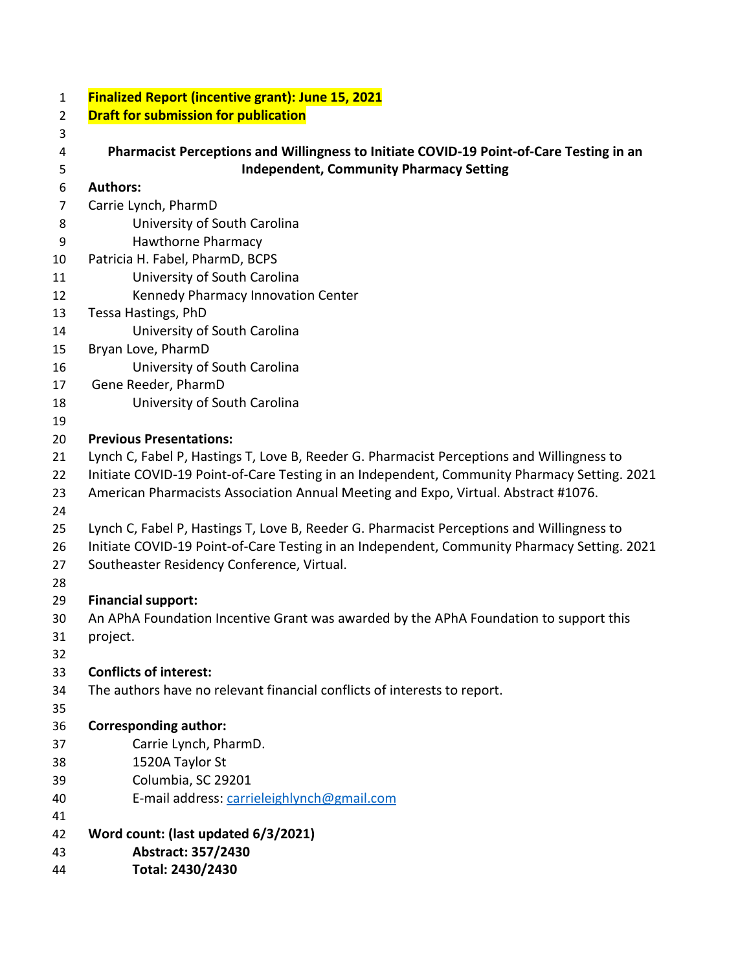| $\mathbf{1}$     | Finalized Report (incentive grant): June 15, 2021                                           |
|------------------|---------------------------------------------------------------------------------------------|
| 2                | <b>Draft for submission for publication</b>                                                 |
| 3                |                                                                                             |
| 4                | Pharmacist Perceptions and Willingness to Initiate COVID-19 Point-of-Care Testing in an     |
| 5                | <b>Independent, Community Pharmacy Setting</b>                                              |
| 6                | <b>Authors:</b>                                                                             |
| $\overline{7}$   | Carrie Lynch, PharmD                                                                        |
| 8                | University of South Carolina                                                                |
| $\boldsymbol{9}$ | <b>Hawthorne Pharmacy</b>                                                                   |
| 10               | Patricia H. Fabel, PharmD, BCPS                                                             |
| 11               | University of South Carolina                                                                |
| 12               | Kennedy Pharmacy Innovation Center                                                          |
| 13               | Tessa Hastings, PhD                                                                         |
| 14               | University of South Carolina                                                                |
| 15               | Bryan Love, PharmD                                                                          |
| 16               | University of South Carolina                                                                |
| 17               | Gene Reeder, PharmD                                                                         |
| 18               | University of South Carolina                                                                |
| 19               |                                                                                             |
| 20               | <b>Previous Presentations:</b>                                                              |
| 21               | Lynch C, Fabel P, Hastings T, Love B, Reeder G. Pharmacist Perceptions and Willingness to   |
| 22               | Initiate COVID-19 Point-of-Care Testing in an Independent, Community Pharmacy Setting. 2021 |
| 23               | American Pharmacists Association Annual Meeting and Expo, Virtual. Abstract #1076.          |
| 24               |                                                                                             |
| 25               | Lynch C, Fabel P, Hastings T, Love B, Reeder G. Pharmacist Perceptions and Willingness to   |
| 26               | Initiate COVID-19 Point-of-Care Testing in an Independent, Community Pharmacy Setting. 2021 |
| 27               | Southeaster Residency Conference, Virtual.                                                  |
| 28               |                                                                                             |
| 29               | <b>Financial support:</b>                                                                   |
| 30               | An APhA Foundation Incentive Grant was awarded by the APhA Foundation to support this       |
| 31               | project.                                                                                    |
| 32               |                                                                                             |
| 33               | <b>Conflicts of interest:</b>                                                               |
| 34               | The authors have no relevant financial conflicts of interests to report.                    |
| 35               |                                                                                             |
| 36               | <b>Corresponding author:</b>                                                                |
| 37               | Carrie Lynch, PharmD.                                                                       |
| 38               | 1520A Taylor St                                                                             |
| 39               | Columbia, SC 29201                                                                          |
| 40               | E-mail address: carrieleighlynch@gmail.com                                                  |
| 41               |                                                                                             |
| 42               | Word count: (last updated 6/3/2021)                                                         |
| 43               | Abstract: 357/2430                                                                          |
| 44               | Total: 2430/2430                                                                            |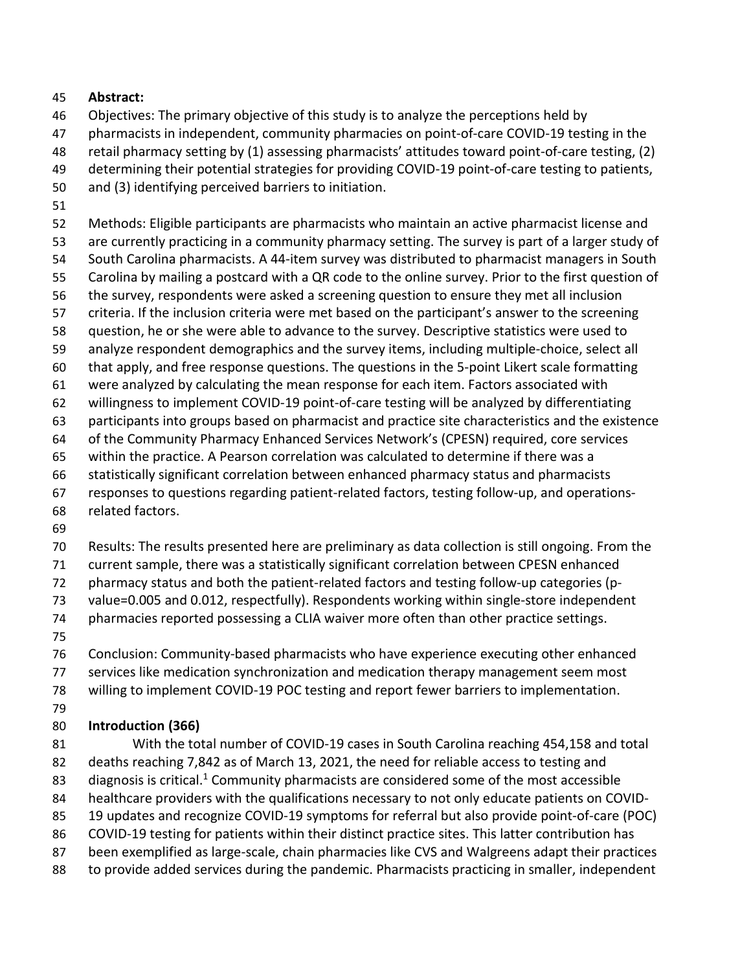#### **Abstract:**

- Objectives: The primary objective of this study is to analyze the perceptions held by
- pharmacists in independent, community pharmacies on point-of-care COVID-19 testing in the
- retail pharmacy setting by (1) assessing pharmacists' attitudes toward point-of-care testing, (2)
- determining their potential strategies for providing COVID-19 point-of-care testing to patients,
- and (3) identifying perceived barriers to initiation.
- 

Methods: Eligible participants are pharmacists who maintain an active pharmacist license and

- are currently practicing in a community pharmacy setting. The survey is part of a larger study of
- South Carolina pharmacists. A 44-item survey was distributed to pharmacist managers in South
- Carolina by mailing a postcard with a QR code to the online survey. Prior to the first question of
- the survey, respondents were asked a screening question to ensure they met all inclusion
- criteria. If the inclusion criteria were met based on the participant's answer to the screening question, he or she were able to advance to the survey. Descriptive statistics were used to
- analyze respondent demographics and the survey items, including multiple-choice, select all
- that apply, and free response questions. The questions in the 5-point Likert scale formatting
- were analyzed by calculating the mean response for each item. Factors associated with
- willingness to implement COVID-19 point-of-care testing will be analyzed by differentiating
- participants into groups based on pharmacist and practice site characteristics and the existence
- of the Community Pharmacy Enhanced Services Network's (CPESN) required, core services
- within the practice. A Pearson correlation was calculated to determine if there was a
- statistically significant correlation between enhanced pharmacy status and pharmacists
- responses to questions regarding patient-related factors, testing follow-up, and operations-
- related factors.
- 
- Results: The results presented here are preliminary as data collection is still ongoing. From the
- current sample, there was a statistically significant correlation between CPESN enhanced
- pharmacy status and both the patient-related factors and testing follow-up categories (p-
- value=0.005 and 0.012, respectfully). Respondents working within single-store independent
- pharmacies reported possessing a CLIA waiver more often than other practice settings.
- 

Conclusion: Community-based pharmacists who have experience executing other enhanced

- services like medication synchronization and medication therapy management seem most
- willing to implement COVID-19 POC testing and report fewer barriers to implementation.
- 

## **Introduction (366)**

 With the total number of COVID-19 cases in South Carolina reaching 454,158 and total deaths reaching 7,842 as of March 13, 2021, the need for reliable access to testing and 83 diagnosis is critical.<sup>1</sup> Community pharmacists are considered some of the most accessible healthcare providers with the qualifications necessary to not only educate patients on COVID- 19 updates and recognize COVID-19 symptoms for referral but also provide point-of-care (POC) COVID-19 testing for patients within their distinct practice sites. This latter contribution has been exemplified as large-scale, chain pharmacies like CVS and Walgreens adapt their practices 88 to provide added services during the pandemic. Pharmacists practicing in smaller, independent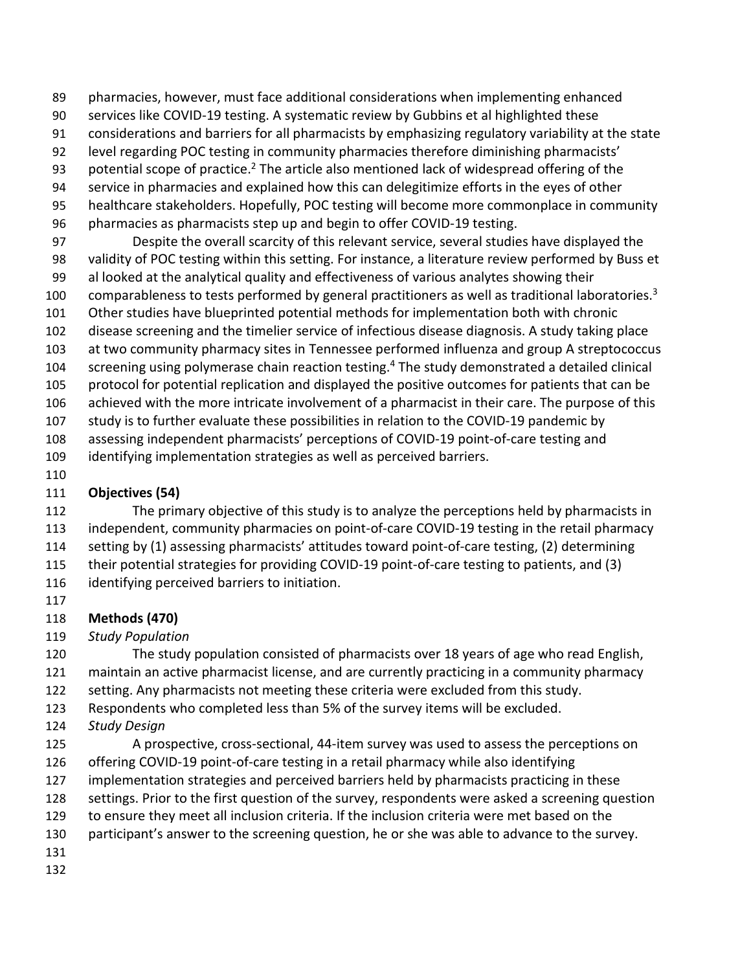pharmacies, however, must face additional considerations when implementing enhanced

services like COVID-19 testing. A systematic review by Gubbins et al highlighted these

- considerations and barriers for all pharmacists by emphasizing regulatory variability at the state
- level regarding POC testing in community pharmacies therefore diminishing pharmacists'
- 93 potential scope of practice.<sup>2</sup> The article also mentioned lack of widespread offering of the
- service in pharmacies and explained how this can delegitimize efforts in the eyes of other
- healthcare stakeholders. Hopefully, POC testing will become more commonplace in community
- pharmacies as pharmacists step up and begin to offer COVID-19 testing.

 Despite the overall scarcity of this relevant service, several studies have displayed the validity of POC testing within this setting. For instance, a literature review performed by Buss et al looked at the analytical quality and effectiveness of various analytes showing their 100 comparableness to tests performed by general practitioners as well as traditional laboratories.<sup>3</sup>

- Other studies have blueprinted potential methods for implementation both with chronic
- disease screening and the timelier service of infectious disease diagnosis. A study taking place at two community pharmacy sites in Tennessee performed influenza and group A streptococcus
- 104 screening using polymerase chain reaction testing.<sup>4</sup> The study demonstrated a detailed clinical protocol for potential replication and displayed the positive outcomes for patients that can be
- achieved with the more intricate involvement of a pharmacist in their care. The purpose of this study is to further evaluate these possibilities in relation to the COVID-19 pandemic by
- assessing independent pharmacists' perceptions of COVID-19 point-of-care testing and identifying implementation strategies as well as perceived barriers.
- 

# **Objectives (54)**

 The primary objective of this study is to analyze the perceptions held by pharmacists in independent, community pharmacies on point-of-care COVID-19 testing in the retail pharmacy setting by (1) assessing pharmacists' attitudes toward point-of-care testing, (2) determining their potential strategies for providing COVID-19 point-of-care testing to patients, and (3) identifying perceived barriers to initiation.

# **Methods (470)**

# *Study Population*

 The study population consisted of pharmacists over 18 years of age who read English, maintain an active pharmacist license, and are currently practicing in a community pharmacy setting. Any pharmacists not meeting these criteria were excluded from this study.

- Respondents who completed less than 5% of the survey items will be excluded.
- *Study Design*
- A prospective, cross-sectional, 44-item survey was used to assess the perceptions on offering COVID-19 point-of-care testing in a retail pharmacy while also identifying implementation strategies and perceived barriers held by pharmacists practicing in these settings. Prior to the first question of the survey, respondents were asked a screening question to ensure they meet all inclusion criteria. If the inclusion criteria were met based on the
- participant's answer to the screening question, he or she was able to advance to the survey.
- 
-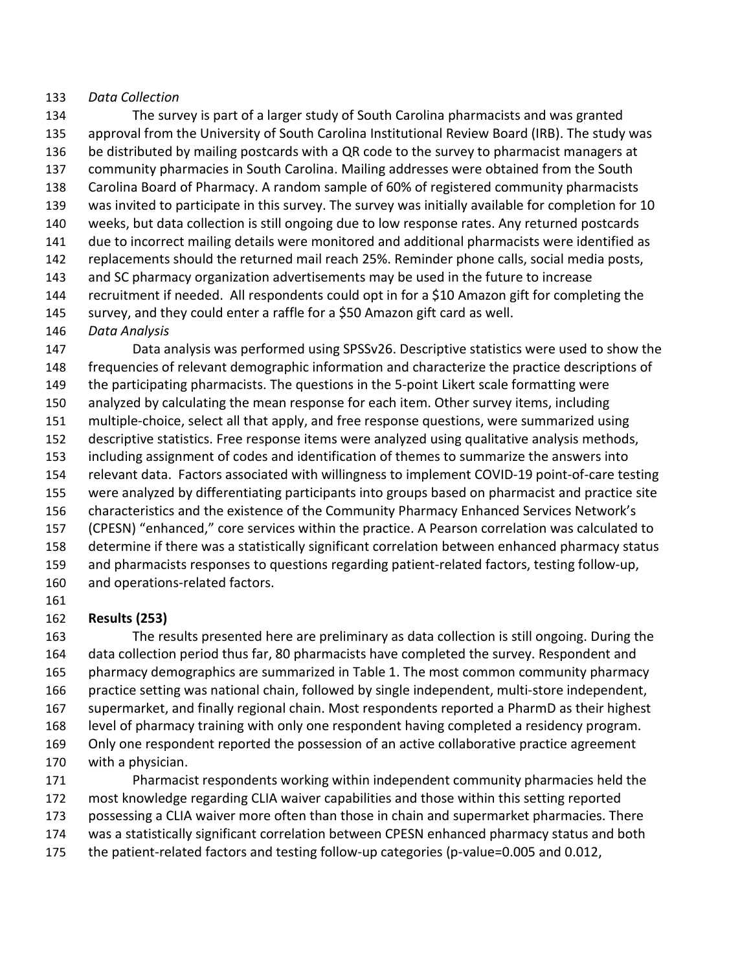#### *Data Collection*

 The survey is part of a larger study of South Carolina pharmacists and was granted approval from the University of South Carolina Institutional Review Board (IRB). The study was be distributed by mailing postcards with a QR code to the survey to pharmacist managers at community pharmacies in South Carolina. Mailing addresses were obtained from the South Carolina Board of Pharmacy. A random sample of 60% of registered community pharmacists was invited to participate in this survey. The survey was initially available for completion for 10 weeks, but data collection is still ongoing due to low response rates. Any returned postcards due to incorrect mailing details were monitored and additional pharmacists were identified as replacements should the returned mail reach 25%. Reminder phone calls, social media posts, and SC pharmacy organization advertisements may be used in the future to increase recruitment if needed. All respondents could opt in for a \$10 Amazon gift for completing the survey, and they could enter a raffle for a \$50 Amazon gift card as well. *Data Analysis* Data analysis was performed using SPSSv26. Descriptive statistics were used to show the frequencies of relevant demographic information and characterize the practice descriptions of the participating pharmacists. The questions in the 5-point Likert scale formatting were analyzed by calculating the mean response for each item. Other survey items, including multiple-choice, select all that apply, and free response questions, were summarized using descriptive statistics. Free response items were analyzed using qualitative analysis methods,

including assignment of codes and identification of themes to summarize the answers into

- relevant data. Factors associated with willingness to implement COVID-19 point-of-care testing were analyzed by differentiating participants into groups based on pharmacist and practice site characteristics and the existence of the Community Pharmacy Enhanced Services Network's (CPESN) "enhanced," core services within the practice. A Pearson correlation was calculated to
- determine if there was a statistically significant correlation between enhanced pharmacy status and pharmacists responses to questions regarding patient-related factors, testing follow-up,
- and operations-related factors.
- 

### **Results (253)**

 The results presented here are preliminary as data collection is still ongoing. During the data collection period thus far, 80 pharmacists have completed the survey. Respondent and pharmacy demographics are summarized in Table 1. The most common community pharmacy practice setting was national chain, followed by single independent, multi-store independent, supermarket, and finally regional chain. Most respondents reported a PharmD as their highest level of pharmacy training with only one respondent having completed a residency program. Only one respondent reported the possession of an active collaborative practice agreement with a physician.

 Pharmacist respondents working within independent community pharmacies held the most knowledge regarding CLIA waiver capabilities and those within this setting reported possessing a CLIA waiver more often than those in chain and supermarket pharmacies. There was a statistically significant correlation between CPESN enhanced pharmacy status and both the patient-related factors and testing follow-up categories (p-value=0.005 and 0.012,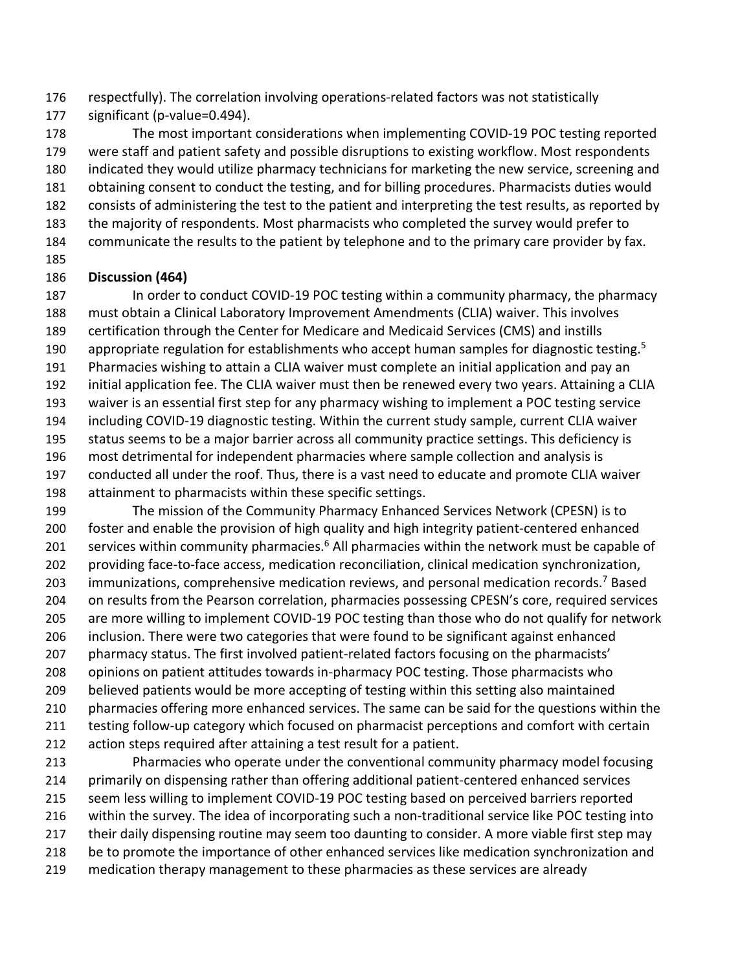respectfully). The correlation involving operations-related factors was not statistically significant (p-value=0.494).

 The most important considerations when implementing COVID-19 POC testing reported were staff and patient safety and possible disruptions to existing workflow. Most respondents indicated they would utilize pharmacy technicians for marketing the new service, screening and obtaining consent to conduct the testing, and for billing procedures. Pharmacists duties would consists of administering the test to the patient and interpreting the test results, as reported by the majority of respondents. Most pharmacists who completed the survey would prefer to communicate the results to the patient by telephone and to the primary care provider by fax. 

#### **Discussion (464)**

 In order to conduct COVID-19 POC testing within a community pharmacy, the pharmacy must obtain a Clinical Laboratory Improvement Amendments (CLIA) waiver. This involves certification through the Center for Medicare and Medicaid Services (CMS) and instills 190 appropriate regulation for establishments who accept human samples for diagnostic testing.<sup>5</sup> Pharmacies wishing to attain a CLIA waiver must complete an initial application and pay an initial application fee. The CLIA waiver must then be renewed every two years. Attaining a CLIA waiver is an essential first step for any pharmacy wishing to implement a POC testing service including COVID-19 diagnostic testing. Within the current study sample, current CLIA waiver 195 status seems to be a major barrier across all community practice settings. This deficiency is most detrimental for independent pharmacies where sample collection and analysis is conducted all under the roof. Thus, there is a vast need to educate and promote CLIA waiver attainment to pharmacists within these specific settings.

 The mission of the Community Pharmacy Enhanced Services Network (CPESN) is to foster and enable the provision of high quality and high integrity patient-centered enhanced 201 services within community pharmacies.<sup>6</sup> All pharmacies within the network must be capable of providing face-to-face access, medication reconciliation, clinical medication synchronization, 203 immunizations, comprehensive medication reviews, and personal medication records.<sup>7</sup> Based 204 on results from the Pearson correlation, pharmacies possessing CPESN's core, required services are more willing to implement COVID-19 POC testing than those who do not qualify for network inclusion. There were two categories that were found to be significant against enhanced pharmacy status. The first involved patient-related factors focusing on the pharmacists' opinions on patient attitudes towards in-pharmacy POC testing. Those pharmacists who believed patients would be more accepting of testing within this setting also maintained 210 pharmacies offering more enhanced services. The same can be said for the questions within the testing follow-up category which focused on pharmacist perceptions and comfort with certain action steps required after attaining a test result for a patient. Pharmacies who operate under the conventional community pharmacy model focusing

 primarily on dispensing rather than offering additional patient-centered enhanced services seem less willing to implement COVID-19 POC testing based on perceived barriers reported within the survey. The idea of incorporating such a non-traditional service like POC testing into their daily dispensing routine may seem too daunting to consider. A more viable first step may 218 be to promote the importance of other enhanced services like medication synchronization and medication therapy management to these pharmacies as these services are already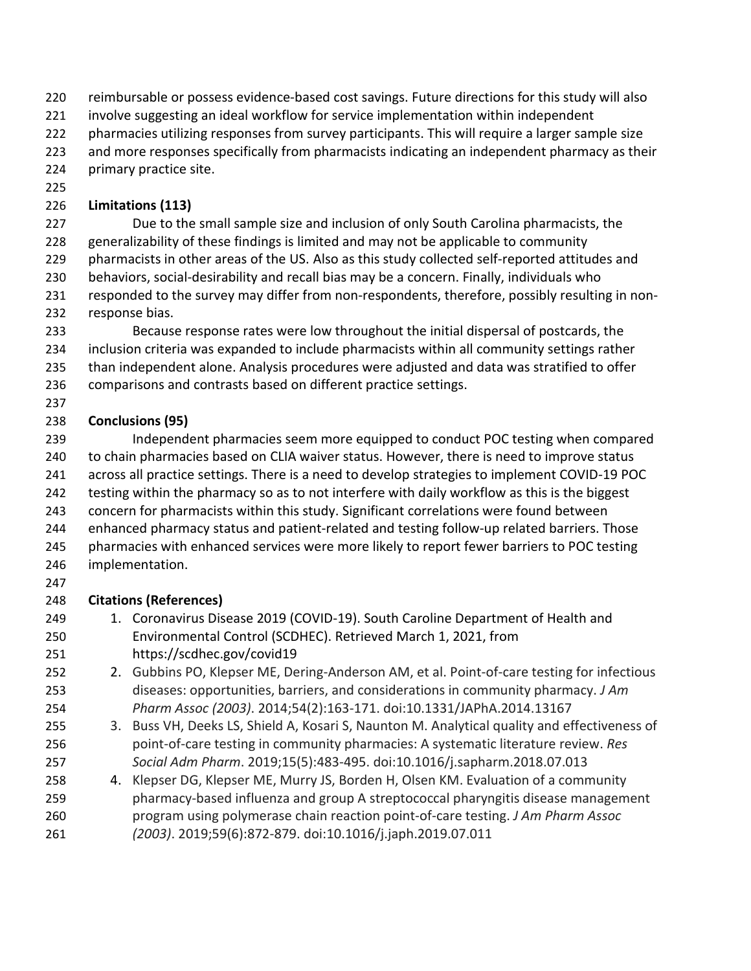- reimbursable or possess evidence-based cost savings. Future directions for this study will also
- involve suggesting an ideal workflow for service implementation within independent
- pharmacies utilizing responses from survey participants. This will require a larger sample size
- and more responses specifically from pharmacists indicating an independent pharmacy as their
- primary practice site.
- 

## **Limitations (113)**

 Due to the small sample size and inclusion of only South Carolina pharmacists, the generalizability of these findings is limited and may not be applicable to community pharmacists in other areas of the US. Also as this study collected self-reported attitudes and behaviors, social-desirability and recall bias may be a concern. Finally, individuals who responded to the survey may differ from non-respondents, therefore, possibly resulting in non-response bias.

 Because response rates were low throughout the initial dispersal of postcards, the inclusion criteria was expanded to include pharmacists within all community settings rather than independent alone. Analysis procedures were adjusted and data was stratified to offer comparisons and contrasts based on different practice settings.

# **Conclusions (95)**

 Independent pharmacies seem more equipped to conduct POC testing when compared 240 to chain pharmacies based on CLIA waiver status. However, there is need to improve status across all practice settings. There is a need to develop strategies to implement COVID-19 POC testing within the pharmacy so as to not interfere with daily workflow as this is the biggest concern for pharmacists within this study. Significant correlations were found between enhanced pharmacy status and patient-related and testing follow-up related barriers. Those pharmacies with enhanced services were more likely to report fewer barriers to POC testing implementation. 

## **Citations (References)**

- 1. Coronavirus Disease 2019 (COVID-19). South Caroline Department of Health and Environmental Control (SCDHEC). Retrieved March 1, 2021, from https://scdhec.gov/covid19
- 252 252 2. Gubbins PO, Klepser ME, Dering-Anderson AM, et al. Point-of-care testing for infectious diseases: opportunities, barriers, and considerations in community pharmacy. *J Am Pharm Assoc (2003)*. 2014;54(2):163-171. doi:10.1331/JAPhA.2014.13167
- 3. Buss VH, Deeks LS, Shield A, Kosari S, Naunton M. Analytical quality and effectiveness of point-of-care testing in community pharmacies: A systematic literature review. *Res Social Adm Pharm*. 2019;15(5):483-495. doi:10.1016/j.sapharm.2018.07.013
- 4. Klepser DG, Klepser ME, Murry JS, Borden H, Olsen KM. Evaluation of a community pharmacy-based influenza and group A streptococcal pharyngitis disease management program using polymerase chain reaction point-of-care testing. *J Am Pharm Assoc (2003)*. 2019;59(6):872-879. doi:10.1016/j.japh.2019.07.011